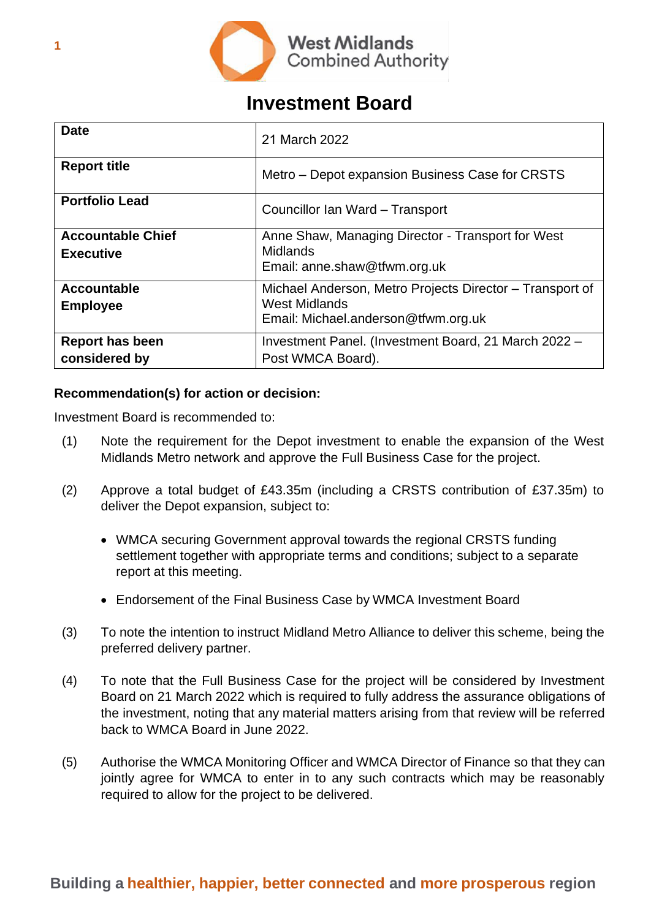

# **Investment Board**

| <b>Date</b>                                  | 21 March 2022                                                                                                           |  |  |  |  |
|----------------------------------------------|-------------------------------------------------------------------------------------------------------------------------|--|--|--|--|
| <b>Report title</b>                          | Metro – Depot expansion Business Case for CRSTS                                                                         |  |  |  |  |
| <b>Portfolio Lead</b>                        | Councillor Ian Ward - Transport                                                                                         |  |  |  |  |
| <b>Accountable Chief</b><br><b>Executive</b> | Anne Shaw, Managing Director - Transport for West<br><b>Midlands</b><br>Email: anne.shaw@tfwm.org.uk                    |  |  |  |  |
| <b>Accountable</b><br><b>Employee</b>        | Michael Anderson, Metro Projects Director – Transport of<br><b>West Midlands</b><br>Email: Michael.anderson@tfwm.org.uk |  |  |  |  |
| <b>Report has been</b><br>considered by      | Investment Panel. (Investment Board, 21 March 2022 -<br>Post WMCA Board).                                               |  |  |  |  |

# **Recommendation(s) for action or decision:**

Investment Board is recommended to:

- (1) Note the requirement for the Depot investment to enable the expansion of the West Midlands Metro network and approve the Full Business Case for the project.
- (2) Approve a total budget of £43.35m (including a CRSTS contribution of £37.35m) to deliver the Depot expansion, subject to:
	- WMCA securing Government approval towards the regional CRSTS funding settlement together with appropriate terms and conditions; subject to a separate report at this meeting.
	- Endorsement of the Final Business Case by WMCA Investment Board
- (3) To note the intention to instruct Midland Metro Alliance to deliver this scheme, being the preferred delivery partner.
- (4) To note that the Full Business Case for the project will be considered by Investment Board on 21 March 2022 which is required to fully address the assurance obligations of the investment, noting that any material matters arising from that review will be referred back to WMCA Board in June 2022.
- (5) Authorise the WMCA Monitoring Officer and WMCA Director of Finance so that they can jointly agree for WMCA to enter in to any such contracts which may be reasonably required to allow for the project to be delivered.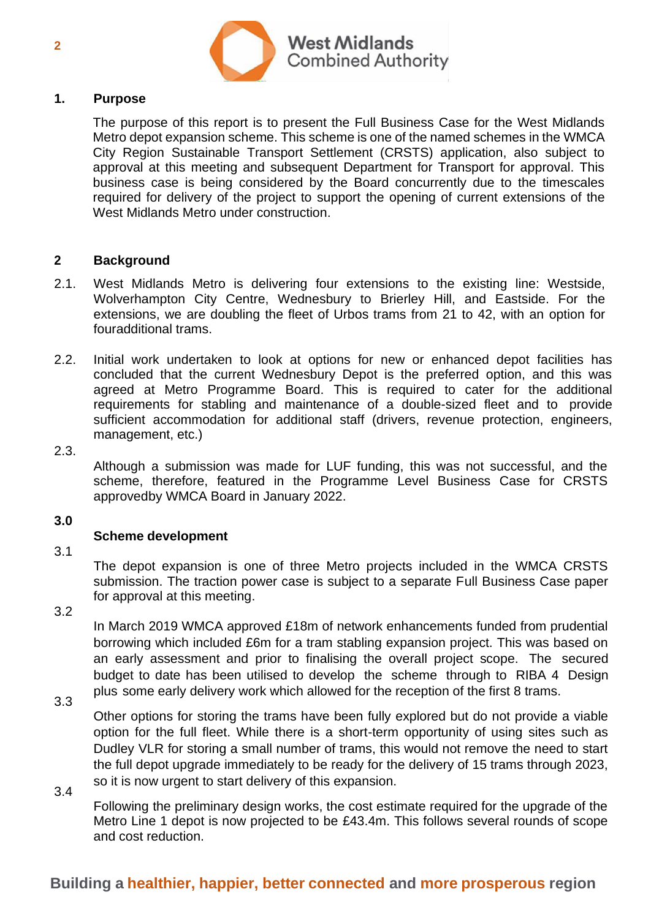

## **1. Purpose**

The purpose of this report is to present the Full Business Case for the West Midlands Metro depot expansion scheme. This scheme is one of the named schemes in the WMCA City Region Sustainable Transport Settlement (CRSTS) application, also subject to approval at this meeting and subsequent Department for Transport for approval. This business case is being considered by the Board concurrently due to the timescales required for delivery of the project to support the opening of current extensions of the West Midlands Metro under construction.

#### **2 Background**

- $2.1.$ West Midlands Metro is delivering four extensions to the existing line: Westside, Wolverhampton City Centre, Wednesbury to Brierley Hill, and Eastside. For the extensions, we are doubling the fleet of Urbos trams from 21 to 42, with an option for fouradditional trams.
- 2.2. Initial work undertaken to look at options for new or enhanced depot facilities has concluded that the current Wednesbury Depot is the preferred option, and this was agreed at Metro Programme Board. This is required to cater for the additional requirements for stabling and maintenance of a double-sized fleet and to provide sufficient accommodation for additional staff (drivers, revenue protection, engineers, management, etc.)
- 2.3.

Although a submission was made for LUF funding, this was not successful, and the scheme, therefore, featured in the Programme Level Business Case for CRSTS approvedby WMCA Board in January 2022.

#### **3.0**

# **Scheme development**

3.1

The depot expansion is one of three Metro projects included in the WMCA CRSTS submission. The traction power case is subject to a separate Full Business Case paper for approval at this meeting.

3.2

In March 2019 WMCA approved £18m of network enhancements funded from prudential borrowing which included £6m for a tram stabling expansion project. This was based on an early assessment and prior to finalising the overall project scope. The secured budget to date has been utilised to develop the scheme through to RIBA 4 Design plus some early delivery work which allowed for the reception of the first 8 trams.

3.3

3.4

Other options for storing the trams have been fully explored but do not provide a viable option for the full fleet. While there is a short-term opportunity of using sites such as Dudley VLR for storing a small number of trams, this would not remove the need to start the full depot upgrade immediately to be ready for the delivery of 15 trams through 2023, so it is now urgent to start delivery of this expansion.

Following the preliminary design works, the cost estimate required for the upgrade of the Metro Line 1 depot is now projected to be £43.4m. This follows several rounds of scope and cost reduction.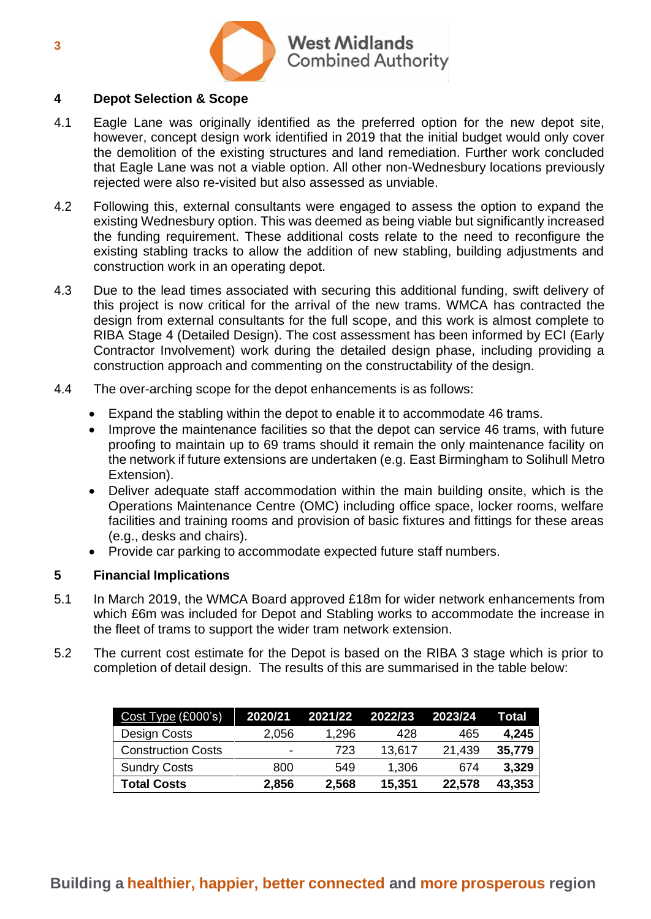

## **4 Depot Selection & Scope**

- 4.1 Eagle Lane was originally identified as the preferred option for the new depot site, however, concept design work identified in 2019 that the initial budget would only cover the demolition of the existing structures and land remediation. Further work concluded that Eagle Lane was not a viable option. All other non-Wednesbury locations previously rejected were also re-visited but also assessed as unviable.
- 4.2 Following this, external consultants were engaged to assess the option to expand the existing Wednesbury option. This was deemed as being viable but significantly increased the funding requirement. These additional costs relate to the need to reconfigure the existing stabling tracks to allow the addition of new stabling, building adjustments and construction work in an operating depot.
- 4.3 Due to the lead times associated with securing this additional funding, swift delivery of this project is now critical for the arrival of the new trams. WMCA has contracted the design from external consultants for the full scope, and this work is almost complete to RIBA Stage 4 (Detailed Design). The cost assessment has been informed by ECI (Early Contractor Involvement) work during the detailed design phase, including providing a construction approach and commenting on the constructability of the design.
- 4.4 The over-arching scope for the depot enhancements is as follows:
	- Expand the stabling within the depot to enable it to accommodate 46 trams.
	- Improve the maintenance facilities so that the depot can service 46 trams, with future proofing to maintain up to 69 trams should it remain the only maintenance facility on the network if future extensions are undertaken (e.g. East Birmingham to Solihull Metro Extension).
	- Deliver adequate staff accommodation within the main building onsite, which is the Operations Maintenance Centre (OMC) including office space, locker rooms, welfare facilities and training rooms and provision of basic fixtures and fittings for these areas (e.g., desks and chairs).
	- Provide car parking to accommodate expected future staff numbers.

# **5 Financial Implications**

- 5.1 In March 2019, the WMCA Board approved £18m for wider network enhancements from which £6m was included for Depot and Stabling works to accommodate the increase in the fleet of trams to support the wider tram network extension.
- 5.2 The current cost estimate for the Depot is based on the RIBA 3 stage which is prior to completion of detail design. The results of this are summarised in the table below:

| Cost Type (£000's)        | 2020/21 | 2021/22 | 2022/23 | 2023/24 | Total  |
|---------------------------|---------|---------|---------|---------|--------|
| Design Costs              | 2,056   | 1,296   | 428     | 465     | 4,245  |
| <b>Construction Costs</b> | -       | 723     | 13,617  | 21,439  | 35,779 |
| <b>Sundry Costs</b>       | 800     | 549     | 1,306   | 674     | 3,329  |
| <b>Total Costs</b>        | 2,856   | 2,568   | 15,351  | 22,578  | 43,353 |

# **Building a healthier, happier, better connected and more prosperous region**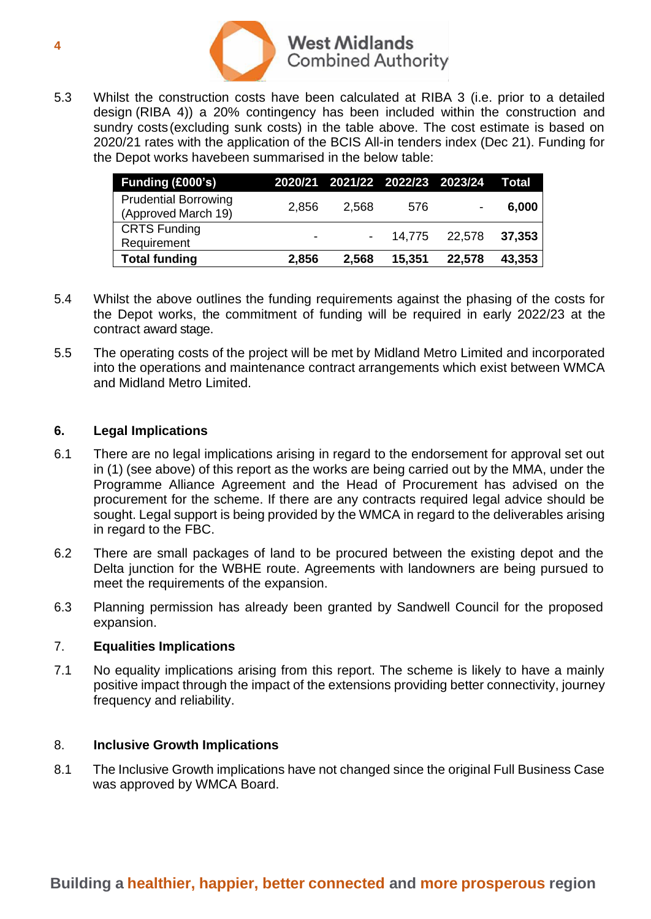

5.3 Whilst the construction costs have been calculated at RIBA 3 (i.e. prior to a detailed design (RIBA 4)) a 20% contingency has been included within the construction and sundry costs(excluding sunk costs) in the table above. The cost estimate is based on 2020/21 rates with the application of the BCIS All-in tenders index (Dec 21). Funding for the Depot works havebeen summarised in the below table:

| Funding (£000's)                                   |                          |       |                   | 2020/21 2021/22 2022/23 2023/24 Total |        |
|----------------------------------------------------|--------------------------|-------|-------------------|---------------------------------------|--------|
| <b>Prudential Borrowing</b><br>(Approved March 19) | 2,856                    | 2,568 | 576               |                                       | 6,000  |
| <b>CRTS Funding</b><br>Requirement                 | $\overline{\phantom{0}}$ |       | $-$ 14,775 22,578 |                                       | 37,353 |
| <b>Total funding</b>                               | 2,856                    | 2,568 | 15,351            | 22,578                                | 43,353 |

- 5.4 Whilst the above outlines the funding requirements against the phasing of the costs for the Depot works, the commitment of funding will be required in early 2022/23 at the contract award stage.
- 5.5 The operating costs of the project will be met by Midland Metro Limited and incorporated into the operations and maintenance contract arrangements which exist between WMCA and Midland Metro Limited.

## **6. Legal Implications**

- 6.1 There are no legal implications arising in regard to the endorsement for approval set out in (1) (see above) of this report as the works are being carried out by the MMA, under the Programme Alliance Agreement and the Head of Procurement has advised on the procurement for the scheme. If there are any contracts required legal advice should be sought. Legal support is being provided by the WMCA in regard to the deliverables arising in regard to the FBC.
- 6.2 There are small packages of land to be procured between the existing depot and the Delta junction for the WBHE route. Agreements with landowners are being pursued to meet the requirements of the expansion.
- 6.3 Planning permission has already been granted by Sandwell Council for the proposed expansion.

# 7. **Equalities Implications**

7.1 No equality implications arising from this report. The scheme is likely to have a mainly positive impact through the impact of the extensions providing better connectivity, journey frequency and reliability.

#### 8. **Inclusive Growth Implications**

8.1 The Inclusive Growth implications have not changed since the original Full Business Case was approved by WMCA Board.

# **Building a healthier, happier, better connected and more prosperous region**